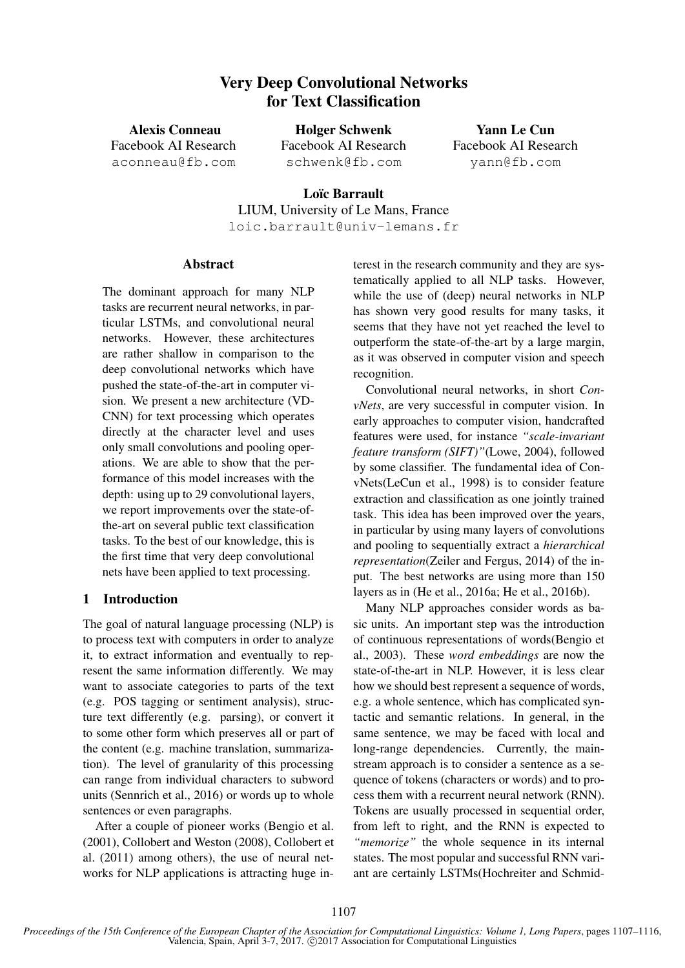# Very Deep Convolutional Networks for Text Classification

Alexis Conneau Facebook AI Research aconneau@fb.com

Holger Schwenk Facebook AI Research schwenk@fb.com

Yann Le Cun Facebook AI Research yann@fb.com

Loïc Barrault LIUM, University of Le Mans, France loic.barrault@univ-lemans.fr

### Abstract

The dominant approach for many NLP tasks are recurrent neural networks, in particular LSTMs, and convolutional neural networks. However, these architectures are rather shallow in comparison to the deep convolutional networks which have pushed the state-of-the-art in computer vision. We present a new architecture (VD-CNN) for text processing which operates directly at the character level and uses only small convolutions and pooling operations. We are able to show that the performance of this model increases with the depth: using up to 29 convolutional layers, we report improvements over the state-ofthe-art on several public text classification tasks. To the best of our knowledge, this is the first time that very deep convolutional nets have been applied to text processing.

## 1 Introduction

The goal of natural language processing (NLP) is to process text with computers in order to analyze it, to extract information and eventually to represent the same information differently. We may want to associate categories to parts of the text (e.g. POS tagging or sentiment analysis), structure text differently (e.g. parsing), or convert it to some other form which preserves all or part of the content (e.g. machine translation, summarization). The level of granularity of this processing can range from individual characters to subword units (Sennrich et al., 2016) or words up to whole sentences or even paragraphs.

After a couple of pioneer works (Bengio et al. (2001), Collobert and Weston (2008), Collobert et al. (2011) among others), the use of neural networks for NLP applications is attracting huge interest in the research community and they are systematically applied to all NLP tasks. However, while the use of (deep) neural networks in NLP has shown very good results for many tasks, it seems that they have not yet reached the level to outperform the state-of-the-art by a large margin, as it was observed in computer vision and speech recognition.

Convolutional neural networks, in short *ConvNets*, are very successful in computer vision. In early approaches to computer vision, handcrafted features were used, for instance *"scale-invariant feature transform (SIFT)"*(Lowe, 2004), followed by some classifier. The fundamental idea of ConvNets(LeCun et al., 1998) is to consider feature extraction and classification as one jointly trained task. This idea has been improved over the years, in particular by using many layers of convolutions and pooling to sequentially extract a *hierarchical representation*(Zeiler and Fergus, 2014) of the input. The best networks are using more than 150 layers as in (He et al., 2016a; He et al., 2016b).

Many NLP approaches consider words as basic units. An important step was the introduction of continuous representations of words(Bengio et al., 2003). These *word embeddings* are now the state-of-the-art in NLP. However, it is less clear how we should best represent a sequence of words, e.g. a whole sentence, which has complicated syntactic and semantic relations. In general, in the same sentence, we may be faced with local and long-range dependencies. Currently, the mainstream approach is to consider a sentence as a sequence of tokens (characters or words) and to process them with a recurrent neural network (RNN). Tokens are usually processed in sequential order, from left to right, and the RNN is expected to *"memorize"* the whole sequence in its internal states. The most popular and successful RNN variant are certainly LSTMs(Hochreiter and Schmid-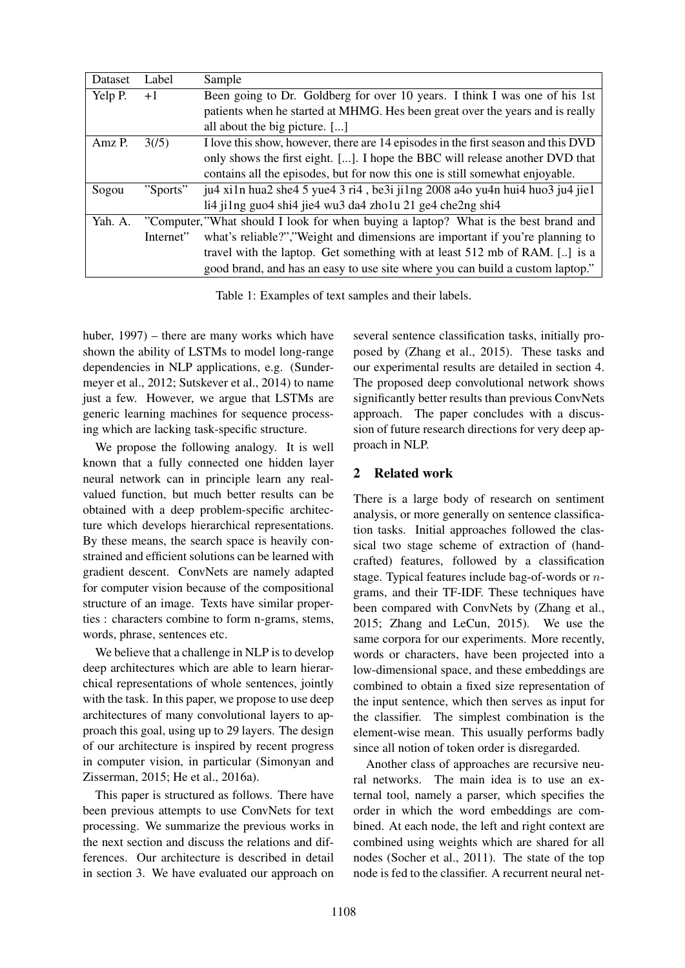| Dataset | Label     | Sample                                                                              |  |  |  |
|---------|-----------|-------------------------------------------------------------------------------------|--|--|--|
| Yelp P. | $+1$      | Been going to Dr. Goldberg for over 10 years. I think I was one of his 1st          |  |  |  |
|         |           | patients when he started at MHMG. Hes been great over the years and is really       |  |  |  |
|         |           | all about the big picture. []                                                       |  |  |  |
| Amz P.  | 3(75)     | I love this show, however, there are 14 episodes in the first season and this DVD   |  |  |  |
|         |           | only shows the first eight. []. I hope the BBC will release another DVD that        |  |  |  |
|         |           | contains all the episodes, but for now this one is still somewhat enjoyable.        |  |  |  |
| Sogou   | "Sports"  | ju4 xi1n hua2 she4 5 yue4 3 ri4, be3i ji1ng 2008 a4o yu4n hui4 huo3 ju4 jie1        |  |  |  |
|         |           | li4 ji1ng guo4 shi4 jie4 wu3 da4 zho1u 21 ge4 che2ng shi4                           |  |  |  |
| Yah. A. |           | "Computer," What should I look for when buying a laptop? What is the best brand and |  |  |  |
|         | Internet" | what's reliable?","Weight and dimensions are important if you're planning to        |  |  |  |
|         |           | travel with the laptop. Get something with at least 512 mb of RAM. [] is a          |  |  |  |
|         |           | good brand, and has an easy to use site where you can build a custom laptop."       |  |  |  |

Table 1: Examples of text samples and their labels.

huber, 1997) – there are many works which have shown the ability of LSTMs to model long-range dependencies in NLP applications, e.g. (Sundermeyer et al., 2012; Sutskever et al., 2014) to name just a few. However, we argue that LSTMs are generic learning machines for sequence processing which are lacking task-specific structure.

We propose the following analogy. It is well known that a fully connected one hidden layer neural network can in principle learn any realvalued function, but much better results can be obtained with a deep problem-specific architecture which develops hierarchical representations. By these means, the search space is heavily constrained and efficient solutions can be learned with gradient descent. ConvNets are namely adapted for computer vision because of the compositional structure of an image. Texts have similar properties : characters combine to form n-grams, stems, words, phrase, sentences etc.

We believe that a challenge in NLP is to develop deep architectures which are able to learn hierarchical representations of whole sentences, jointly with the task. In this paper, we propose to use deep architectures of many convolutional layers to approach this goal, using up to 29 layers. The design of our architecture is inspired by recent progress in computer vision, in particular (Simonyan and Zisserman, 2015; He et al., 2016a).

This paper is structured as follows. There have been previous attempts to use ConvNets for text processing. We summarize the previous works in the next section and discuss the relations and differences. Our architecture is described in detail in section 3. We have evaluated our approach on

several sentence classification tasks, initially proposed by (Zhang et al., 2015). These tasks and our experimental results are detailed in section 4. The proposed deep convolutional network shows significantly better results than previous ConvNets approach. The paper concludes with a discussion of future research directions for very deep approach in NLP.

# 2 Related work

There is a large body of research on sentiment analysis, or more generally on sentence classification tasks. Initial approaches followed the classical two stage scheme of extraction of (handcrafted) features, followed by a classification stage. Typical features include bag-of-words or  $n$ grams, and their TF-IDF. These techniques have been compared with ConvNets by (Zhang et al., 2015; Zhang and LeCun, 2015). We use the same corpora for our experiments. More recently, words or characters, have been projected into a low-dimensional space, and these embeddings are combined to obtain a fixed size representation of the input sentence, which then serves as input for the classifier. The simplest combination is the element-wise mean. This usually performs badly since all notion of token order is disregarded.

Another class of approaches are recursive neural networks. The main idea is to use an external tool, namely a parser, which specifies the order in which the word embeddings are combined. At each node, the left and right context are combined using weights which are shared for all nodes (Socher et al., 2011). The state of the top node is fed to the classifier. A recurrent neural net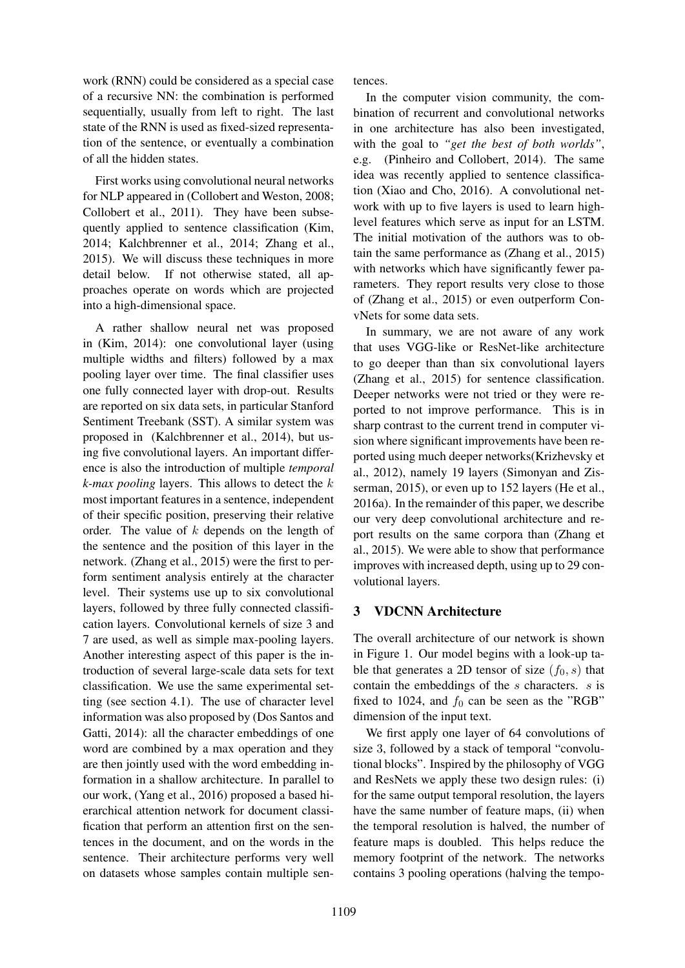work (RNN) could be considered as a special case of a recursive NN: the combination is performed sequentially, usually from left to right. The last state of the RNN is used as fixed-sized representation of the sentence, or eventually a combination of all the hidden states.

First works using convolutional neural networks for NLP appeared in (Collobert and Weston, 2008; Collobert et al., 2011). They have been subsequently applied to sentence classification (Kim, 2014; Kalchbrenner et al., 2014; Zhang et al., 2015). We will discuss these techniques in more detail below. If not otherwise stated, all approaches operate on words which are projected into a high-dimensional space.

A rather shallow neural net was proposed in (Kim, 2014): one convolutional layer (using multiple widths and filters) followed by a max pooling layer over time. The final classifier uses one fully connected layer with drop-out. Results are reported on six data sets, in particular Stanford Sentiment Treebank (SST). A similar system was proposed in (Kalchbrenner et al., 2014), but using five convolutional layers. An important difference is also the introduction of multiple *temporal k-max pooling* layers. This allows to detect the k most important features in a sentence, independent of their specific position, preserving their relative order. The value of k depends on the length of the sentence and the position of this layer in the network. (Zhang et al., 2015) were the first to perform sentiment analysis entirely at the character level. Their systems use up to six convolutional layers, followed by three fully connected classification layers. Convolutional kernels of size 3 and 7 are used, as well as simple max-pooling layers. Another interesting aspect of this paper is the introduction of several large-scale data sets for text classification. We use the same experimental setting (see section 4.1). The use of character level information was also proposed by (Dos Santos and Gatti, 2014): all the character embeddings of one word are combined by a max operation and they are then jointly used with the word embedding information in a shallow architecture. In parallel to our work, (Yang et al., 2016) proposed a based hierarchical attention network for document classification that perform an attention first on the sentences in the document, and on the words in the sentence. Their architecture performs very well on datasets whose samples contain multiple sentences.

In the computer vision community, the combination of recurrent and convolutional networks in one architecture has also been investigated, with the goal to *"get the best of both worlds"*, e.g. (Pinheiro and Collobert, 2014). The same idea was recently applied to sentence classification (Xiao and Cho, 2016). A convolutional network with up to five layers is used to learn highlevel features which serve as input for an LSTM. The initial motivation of the authors was to obtain the same performance as (Zhang et al., 2015) with networks which have significantly fewer parameters. They report results very close to those of (Zhang et al., 2015) or even outperform ConvNets for some data sets.

In summary, we are not aware of any work that uses VGG-like or ResNet-like architecture to go deeper than than six convolutional layers (Zhang et al., 2015) for sentence classification. Deeper networks were not tried or they were reported to not improve performance. This is in sharp contrast to the current trend in computer vision where significant improvements have been reported using much deeper networks(Krizhevsky et al., 2012), namely 19 layers (Simonyan and Zisserman, 2015), or even up to 152 layers (He et al., 2016a). In the remainder of this paper, we describe our very deep convolutional architecture and report results on the same corpora than (Zhang et al., 2015). We were able to show that performance improves with increased depth, using up to 29 convolutional layers.

# 3 VDCNN Architecture

The overall architecture of our network is shown in Figure 1. Our model begins with a look-up table that generates a 2D tensor of size  $(f_0, s)$  that contain the embeddings of the s characters. s is fixed to 1024, and  $f_0$  can be seen as the "RGB" dimension of the input text.

We first apply one layer of 64 convolutions of size 3, followed by a stack of temporal "convolutional blocks". Inspired by the philosophy of VGG and ResNets we apply these two design rules: (i) for the same output temporal resolution, the layers have the same number of feature maps, (ii) when the temporal resolution is halved, the number of feature maps is doubled. This helps reduce the memory footprint of the network. The networks contains 3 pooling operations (halving the tempo-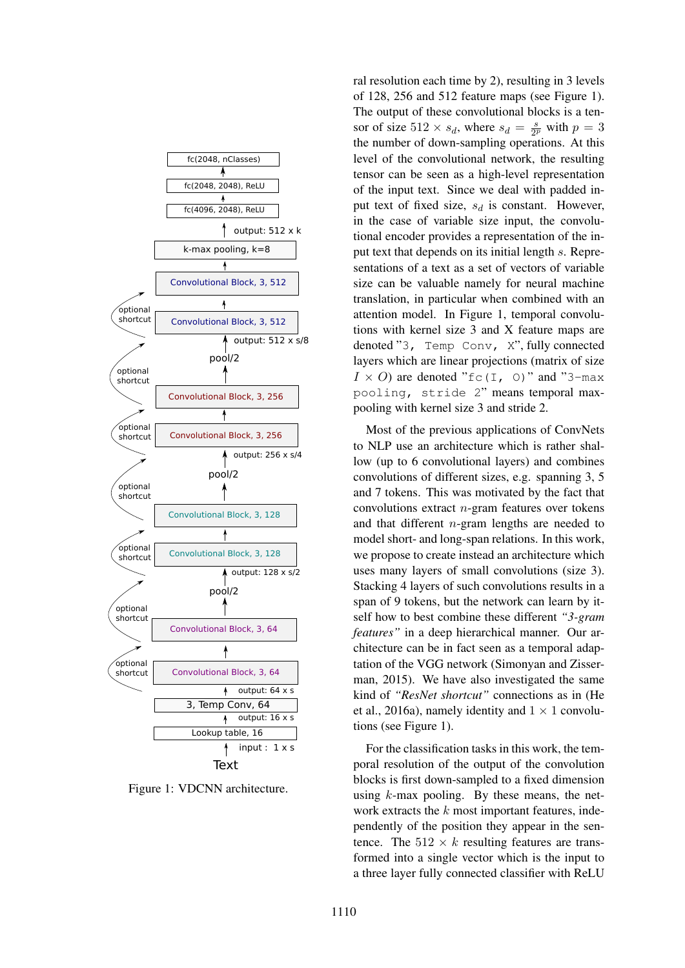

Figure 1: VDCNN architecture.

ral resolution each time by 2), resulting in 3 levels of 128, 256 and 512 feature maps (see Figure 1). The output of these convolutional blocks is a tensor of size  $512 \times s_d$ , where  $s_d = \frac{s}{2i}$  $\frac{s}{2^p}$  with  $p=3$ the number of down-sampling operations. At this level of the convolutional network, the resulting tensor can be seen as a high-level representation of the input text. Since we deal with padded input text of fixed size,  $s_d$  is constant. However, in the case of variable size input, the convolutional encoder provides a representation of the input text that depends on its initial length s. Representations of a text as a set of vectors of variable size can be valuable namely for neural machine translation, in particular when combined with an attention model. In Figure 1, temporal convolutions with kernel size 3 and X feature maps are denoted "3, Temp Conv, X", fully connected layers which are linear projections (matrix of size  $I \times O$  are denoted "fc(I, 0)" and "3-max" pooling, stride 2" means temporal maxpooling with kernel size 3 and stride 2.

Most of the previous applications of ConvNets to NLP use an architecture which is rather shallow (up to 6 convolutional layers) and combines convolutions of different sizes, e.g. spanning 3, 5 and 7 tokens. This was motivated by the fact that convolutions extract  $n$ -gram features over tokens and that different n-gram lengths are needed to model short- and long-span relations. In this work, we propose to create instead an architecture which uses many layers of small convolutions (size 3). Stacking 4 layers of such convolutions results in a span of 9 tokens, but the network can learn by itself how to best combine these different *"3-gram features"* in a deep hierarchical manner. Our architecture can be in fact seen as a temporal adaptation of the VGG network (Simonyan and Zisserman, 2015). We have also investigated the same kind of *"ResNet shortcut"* connections as in (He et al., 2016a), namely identity and  $1 \times 1$  convolutions (see Figure 1).

For the classification tasks in this work, the temporal resolution of the output of the convolution blocks is first down-sampled to a fixed dimension using  $k$ -max pooling. By these means, the network extracts the  $k$  most important features, independently of the position they appear in the sentence. The  $512 \times k$  resulting features are transformed into a single vector which is the input to a three layer fully connected classifier with ReLU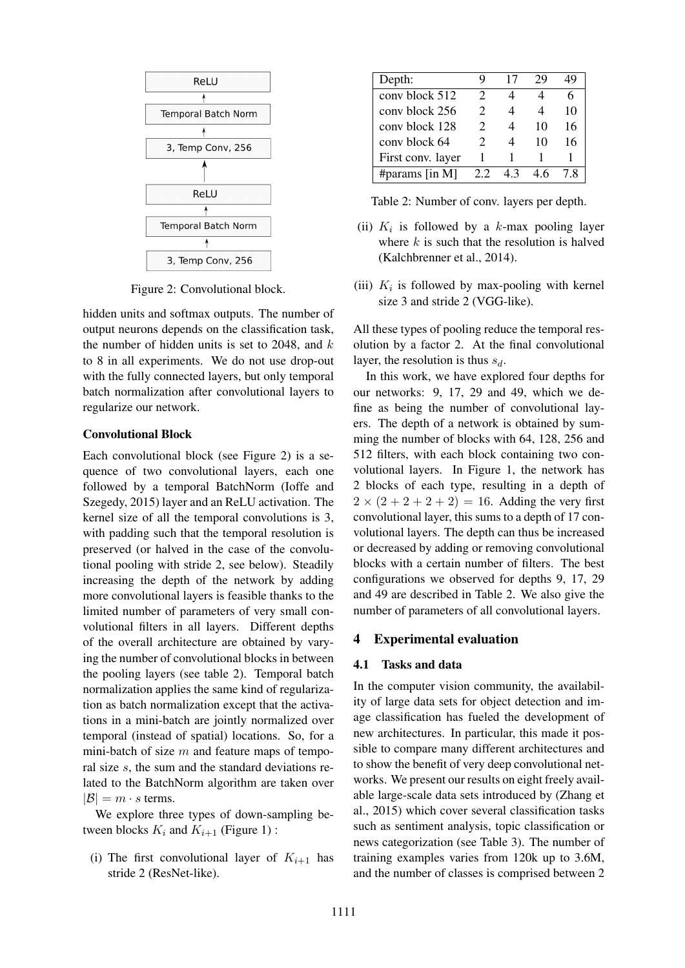

Figure 2: Convolutional block.

hidden units and softmax outputs. The number of output neurons depends on the classification task, the number of hidden units is set to 2048, and  $k$ to 8 in all experiments. We do not use drop-out with the fully connected layers, but only temporal batch normalization after convolutional layers to regularize our network.

#### Convolutional Block

Each convolutional block (see Figure 2) is a sequence of two convolutional layers, each one followed by a temporal BatchNorm (Ioffe and Szegedy, 2015) layer and an ReLU activation. The kernel size of all the temporal convolutions is 3, with padding such that the temporal resolution is preserved (or halved in the case of the convolutional pooling with stride 2, see below). Steadily increasing the depth of the network by adding more convolutional layers is feasible thanks to the limited number of parameters of very small convolutional filters in all layers. Different depths of the overall architecture are obtained by varying the number of convolutional blocks in between the pooling layers (see table 2). Temporal batch normalization applies the same kind of regularization as batch normalization except that the activations in a mini-batch are jointly normalized over temporal (instead of spatial) locations. So, for a mini-batch of size  $m$  and feature maps of temporal size s, the sum and the standard deviations related to the BatchNorm algorithm are taken over  $|\mathcal{B}| = m \cdot s$  terms.

We explore three types of down-sampling between blocks  $K_i$  and  $K_{i+1}$  (Figure 1):

(i) The first convolutional layer of  $K_{i+1}$  has stride 2 (ResNet-like).

| Depth:            | y                           | 17 | 29 | 19 |
|-------------------|-----------------------------|----|----|----|
| conv block 512    | $\mathcal{D}_{\mathcal{L}}$ |    |    | 6  |
| conv block 256    | $\mathcal{D}_{\mathcal{L}}$ | 4  |    | 10 |
| cony block 128    | $\mathcal{D}_{\mathcal{L}}$ |    | 10 | 16 |
| cony block 64     | $\mathcal{D}_{\cdot}$       |    | 10 | 16 |
| First conv. layer |                             |    |    |    |
| #params [in M]    | 22                          | 43 | 46 | 78 |

Table 2: Number of conv. layers per depth.

- (ii)  $K_i$  is followed by a k-max pooling layer where  $k$  is such that the resolution is halved (Kalchbrenner et al., 2014).
- (iii)  $K_i$  is followed by max-pooling with kernel size 3 and stride 2 (VGG-like).

All these types of pooling reduce the temporal resolution by a factor 2. At the final convolutional layer, the resolution is thus  $s_d$ .

In this work, we have explored four depths for our networks: 9, 17, 29 and 49, which we define as being the number of convolutional layers. The depth of a network is obtained by summing the number of blocks with 64, 128, 256 and 512 filters, with each block containing two convolutional layers. In Figure 1, the network has 2 blocks of each type, resulting in a depth of  $2 \times (2 + 2 + 2 + 2) = 16$ . Adding the very first convolutional layer, this sums to a depth of 17 convolutional layers. The depth can thus be increased or decreased by adding or removing convolutional blocks with a certain number of filters. The best configurations we observed for depths 9, 17, 29 and 49 are described in Table 2. We also give the number of parameters of all convolutional layers.

#### 4 Experimental evaluation

#### 4.1 Tasks and data

In the computer vision community, the availability of large data sets for object detection and image classification has fueled the development of new architectures. In particular, this made it possible to compare many different architectures and to show the benefit of very deep convolutional networks. We present our results on eight freely available large-scale data sets introduced by (Zhang et al., 2015) which cover several classification tasks such as sentiment analysis, topic classification or news categorization (see Table 3). The number of training examples varies from 120k up to 3.6M, and the number of classes is comprised between 2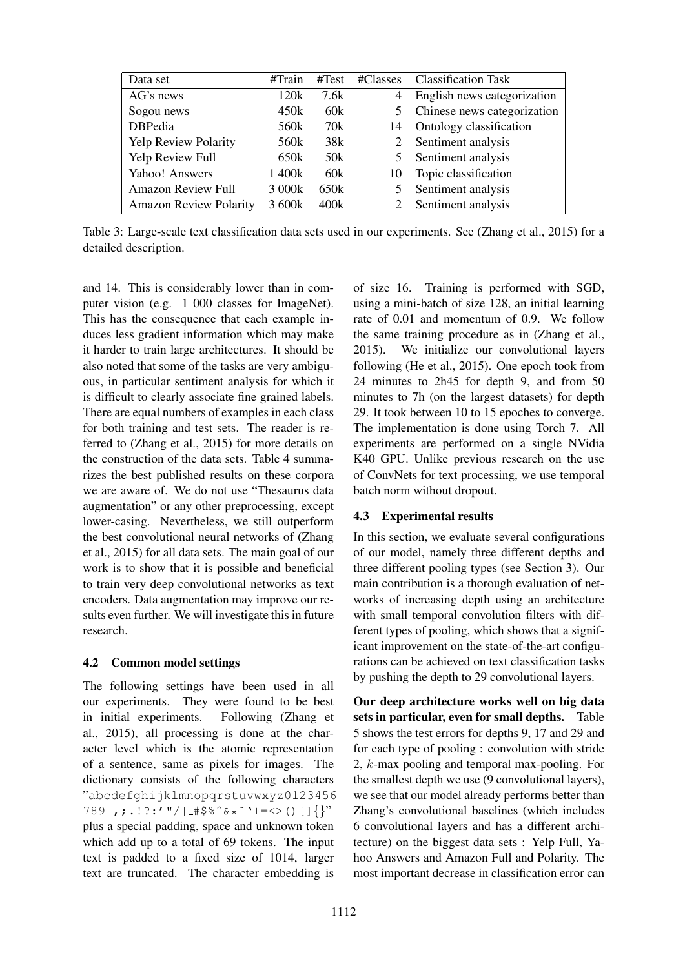| Data set                      | #Train           | #Test           |    | #Classes Classification Task |
|-------------------------------|------------------|-----------------|----|------------------------------|
| AG's news                     | 120k             | 7.6k            | 4  | English news categorization  |
| Sogou news                    | 450k             | 60k             | 5  | Chinese news categorization  |
| <b>DBPedia</b>                | 560k             | 70k             | 14 | Ontology classification      |
| <b>Yelp Review Polarity</b>   | 560 <sub>k</sub> | 38k             | 2  | Sentiment analysis           |
| Yelp Review Full              | 650k             | 50 <sub>k</sub> | 5  | Sentiment analysis           |
| Yahoo! Answers                | 1 400k           | 60k             | 10 | Topic classification         |
| <b>Amazon Review Full</b>     | 3 000k           | 650k            | 5  | Sentiment analysis           |
| <b>Amazon Review Polarity</b> | 3 600k           | 400k            |    | Sentiment analysis           |

Table 3: Large-scale text classification data sets used in our experiments. See (Zhang et al., 2015) for a detailed description.

and 14. This is considerably lower than in computer vision (e.g. 1 000 classes for ImageNet). This has the consequence that each example induces less gradient information which may make it harder to train large architectures. It should be also noted that some of the tasks are very ambiguous, in particular sentiment analysis for which it is difficult to clearly associate fine grained labels. There are equal numbers of examples in each class for both training and test sets. The reader is referred to (Zhang et al., 2015) for more details on the construction of the data sets. Table 4 summarizes the best published results on these corpora we are aware of. We do not use "Thesaurus data augmentation" or any other preprocessing, except lower-casing. Nevertheless, we still outperform the best convolutional neural networks of (Zhang et al., 2015) for all data sets. The main goal of our work is to show that it is possible and beneficial to train very deep convolutional networks as text encoders. Data augmentation may improve our results even further. We will investigate this in future research.

## 4.2 Common model settings

The following settings have been used in all our experiments. They were found to be best in initial experiments. Following (Zhang et al., 2015), all processing is done at the character level which is the atomic representation of a sentence, same as pixels for images. The dictionary consists of the following characters "abcdefghijklmnopqrstuvwxyz0123456  $789-$ , ;  $.$ !?:'"/|  $\#$ \$%^&\* ` ` +=<>()[] $\}$ '' plus a special padding, space and unknown token which add up to a total of 69 tokens. The input text is padded to a fixed size of 1014, larger text are truncated. The character embedding is

of size 16. Training is performed with SGD, using a mini-batch of size 128, an initial learning rate of 0.01 and momentum of 0.9. We follow the same training procedure as in (Zhang et al., 2015). We initialize our convolutional layers following (He et al., 2015). One epoch took from 24 minutes to 2h45 for depth 9, and from 50 minutes to 7h (on the largest datasets) for depth 29. It took between 10 to 15 epoches to converge. The implementation is done using Torch 7. All experiments are performed on a single NVidia K40 GPU. Unlike previous research on the use of ConvNets for text processing, we use temporal batch norm without dropout.

## 4.3 Experimental results

In this section, we evaluate several configurations of our model, namely three different depths and three different pooling types (see Section 3). Our main contribution is a thorough evaluation of networks of increasing depth using an architecture with small temporal convolution filters with different types of pooling, which shows that a significant improvement on the state-of-the-art configurations can be achieved on text classification tasks by pushing the depth to 29 convolutional layers.

Our deep architecture works well on big data sets in particular, even for small depths. Table 5 shows the test errors for depths 9, 17 and 29 and for each type of pooling : convolution with stride 2, k-max pooling and temporal max-pooling. For the smallest depth we use (9 convolutional layers), we see that our model already performs better than Zhang's convolutional baselines (which includes 6 convolutional layers and has a different architecture) on the biggest data sets : Yelp Full, Yahoo Answers and Amazon Full and Polarity. The most important decrease in classification error can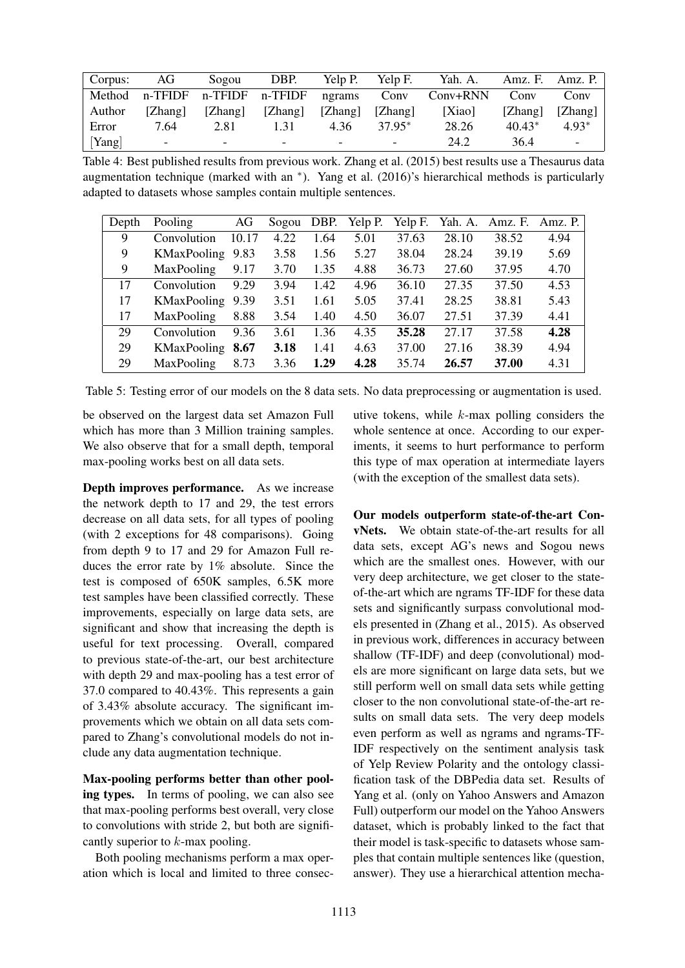| Corpus: | AG                       | Sogou                    | DBP.                     | Yelp P.                  | Yelp F.                  | Yah. A.  |          | Amz. F. Amz. P. $\vert$  |
|---------|--------------------------|--------------------------|--------------------------|--------------------------|--------------------------|----------|----------|--------------------------|
| Method  |                          | n-TFIDF n-TFIDF n-TFIDF  |                          | ngrams                   | Conv                     | Conv+RNN | Conv     | Conv                     |
| Author  | [Zhang]                  | [Zhang]                  | [Zhang]                  | [Zhang]                  | [Zhang]                  | [Xiao]   | [Zhang]  | [Zhang]                  |
| Error   | 7.64                     | 2.81                     | 1.31                     | 4.36                     | $37.95*$                 | 28.26    | $40.43*$ | $4.93*$                  |
| [Yang]  | $\overline{\phantom{0}}$ | $\overline{\phantom{0}}$ | $\overline{\phantom{0}}$ | $\overline{\phantom{0}}$ | $\overline{\phantom{0}}$ | 24.2     | 36.4     | $\overline{\phantom{0}}$ |

Table 4: Best published results from previous work. Zhang et al. (2015) best results use a Thesaurus data augmentation technique (marked with an ∗ ). Yang et al. (2016)'s hierarchical methods is particularly adapted to datasets whose samples contain multiple sentences.

| Depth | Pooling          | AG    |      |      | Sogou DBP. Yelp P. | Yelp F. |       | Yah. A. Amz. F. | Amz. P. |
|-------|------------------|-------|------|------|--------------------|---------|-------|-----------------|---------|
| 9     | Convolution      | 10.17 | 4.22 | 1.64 | 5.01               | 37.63   | 28.10 | 38.52           | 4.94    |
| 9     | KMaxPooling 9.83 |       | 3.58 | 1.56 | 5.27               | 38.04   | 28.24 | 39.19           | 5.69    |
| 9     | MaxPooling       | 9.17  | 3.70 | 1.35 | 4.88               | 36.73   | 27.60 | 37.95           | 4.70    |
| 17    | Convolution      | 9.29  | 3.94 | 1.42 | 4.96               | 36.10   | 27.35 | 37.50           | 4.53    |
| 17    | KMaxPooling      | 9.39  | 3.51 | 1.61 | 5.05               | 37.41   | 28.25 | 38.81           | 5.43    |
| 17    | MaxPooling       | 8.88  | 3.54 | 1.40 | 4.50               | 36.07   | 27.51 | 37.39           | 4.41    |
| 29    | Convolution      | 9.36  | 3.61 | 1.36 | 4.35               | 35.28   | 27.17 | 37.58           | 4.28    |
| 29    | KMaxPooling      | 8.67  | 3.18 | 1.41 | 4.63               | 37.00   | 27.16 | 38.39           | 4.94    |
| 29    | MaxPooling       | 8.73  | 3.36 | 1.29 | 4.28               | 35.74   | 26.57 | 37.00           | 4.31    |

Table 5: Testing error of our models on the 8 data sets. No data preprocessing or augmentation is used.

be observed on the largest data set Amazon Full which has more than 3 Million training samples. We also observe that for a small depth, temporal max-pooling works best on all data sets.

Depth improves performance. As we increase the network depth to 17 and 29, the test errors decrease on all data sets, for all types of pooling (with 2 exceptions for 48 comparisons). Going from depth 9 to 17 and 29 for Amazon Full reduces the error rate by 1% absolute. Since the test is composed of 650K samples, 6.5K more test samples have been classified correctly. These improvements, especially on large data sets, are significant and show that increasing the depth is useful for text processing. Overall, compared to previous state-of-the-art, our best architecture with depth 29 and max-pooling has a test error of 37.0 compared to 40.43%. This represents a gain of 3.43% absolute accuracy. The significant improvements which we obtain on all data sets compared to Zhang's convolutional models do not include any data augmentation technique.

Max-pooling performs better than other pooling types. In terms of pooling, we can also see that max-pooling performs best overall, very close to convolutions with stride 2, but both are significantly superior to  $k$ -max pooling.

Both pooling mechanisms perform a max operation which is local and limited to three consecutive tokens, while  $k$ -max polling considers the whole sentence at once. According to our experiments, it seems to hurt performance to perform this type of max operation at intermediate layers (with the exception of the smallest data sets).

Our models outperform state-of-the-art ConvNets. We obtain state-of-the-art results for all data sets, except AG's news and Sogou news which are the smallest ones. However, with our very deep architecture, we get closer to the stateof-the-art which are ngrams TF-IDF for these data sets and significantly surpass convolutional models presented in (Zhang et al., 2015). As observed in previous work, differences in accuracy between shallow (TF-IDF) and deep (convolutional) models are more significant on large data sets, but we still perform well on small data sets while getting closer to the non convolutional state-of-the-art results on small data sets. The very deep models even perform as well as ngrams and ngrams-TF-IDF respectively on the sentiment analysis task of Yelp Review Polarity and the ontology classification task of the DBPedia data set. Results of Yang et al. (only on Yahoo Answers and Amazon Full) outperform our model on the Yahoo Answers dataset, which is probably linked to the fact that their model is task-specific to datasets whose samples that contain multiple sentences like (question, answer). They use a hierarchical attention mecha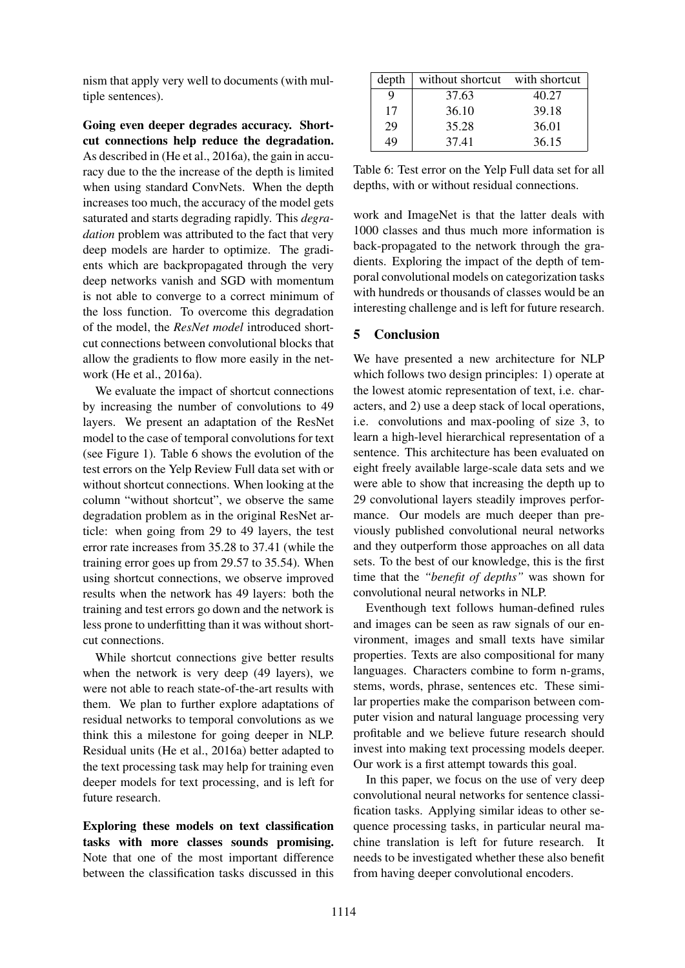nism that apply very well to documents (with multiple sentences).

Going even deeper degrades accuracy. Shortcut connections help reduce the degradation. As described in (He et al., 2016a), the gain in accuracy due to the the increase of the depth is limited when using standard ConvNets. When the depth increases too much, the accuracy of the model gets saturated and starts degrading rapidly. This *degradation* problem was attributed to the fact that very deep models are harder to optimize. The gradients which are backpropagated through the very deep networks vanish and SGD with momentum is not able to converge to a correct minimum of the loss function. To overcome this degradation of the model, the *ResNet model* introduced shortcut connections between convolutional blocks that allow the gradients to flow more easily in the network (He et al., 2016a).

We evaluate the impact of shortcut connections by increasing the number of convolutions to 49 layers. We present an adaptation of the ResNet model to the case of temporal convolutions for text (see Figure 1). Table 6 shows the evolution of the test errors on the Yelp Review Full data set with or without shortcut connections. When looking at the column "without shortcut", we observe the same degradation problem as in the original ResNet article: when going from 29 to 49 layers, the test error rate increases from 35.28 to 37.41 (while the training error goes up from 29.57 to 35.54). When using shortcut connections, we observe improved results when the network has 49 layers: both the training and test errors go down and the network is less prone to underfitting than it was without shortcut connections.

While shortcut connections give better results when the network is very deep (49 layers), we were not able to reach state-of-the-art results with them. We plan to further explore adaptations of residual networks to temporal convolutions as we think this a milestone for going deeper in NLP. Residual units (He et al., 2016a) better adapted to the text processing task may help for training even deeper models for text processing, and is left for future research.

Exploring these models on text classification tasks with more classes sounds promising. Note that one of the most important difference between the classification tasks discussed in this

| depth | without shortcut with shortcut |       |
|-------|--------------------------------|-------|
| Q     | 37.63                          | 40.27 |
| 17    | 36.10                          | 39.18 |
| 29    | 35.28                          | 36.01 |
| 19    | 37.41                          | 36.15 |

Table 6: Test error on the Yelp Full data set for all depths, with or without residual connections.

work and ImageNet is that the latter deals with 1000 classes and thus much more information is back-propagated to the network through the gradients. Exploring the impact of the depth of temporal convolutional models on categorization tasks with hundreds or thousands of classes would be an interesting challenge and is left for future research.

# 5 Conclusion

We have presented a new architecture for NLP which follows two design principles: 1) operate at the lowest atomic representation of text, i.e. characters, and 2) use a deep stack of local operations, i.e. convolutions and max-pooling of size 3, to learn a high-level hierarchical representation of a sentence. This architecture has been evaluated on eight freely available large-scale data sets and we were able to show that increasing the depth up to 29 convolutional layers steadily improves performance. Our models are much deeper than previously published convolutional neural networks and they outperform those approaches on all data sets. To the best of our knowledge, this is the first time that the *"benefit of depths"* was shown for convolutional neural networks in NLP.

Eventhough text follows human-defined rules and images can be seen as raw signals of our environment, images and small texts have similar properties. Texts are also compositional for many languages. Characters combine to form n-grams, stems, words, phrase, sentences etc. These similar properties make the comparison between computer vision and natural language processing very profitable and we believe future research should invest into making text processing models deeper. Our work is a first attempt towards this goal.

In this paper, we focus on the use of very deep convolutional neural networks for sentence classification tasks. Applying similar ideas to other sequence processing tasks, in particular neural machine translation is left for future research. It needs to be investigated whether these also benefit from having deeper convolutional encoders.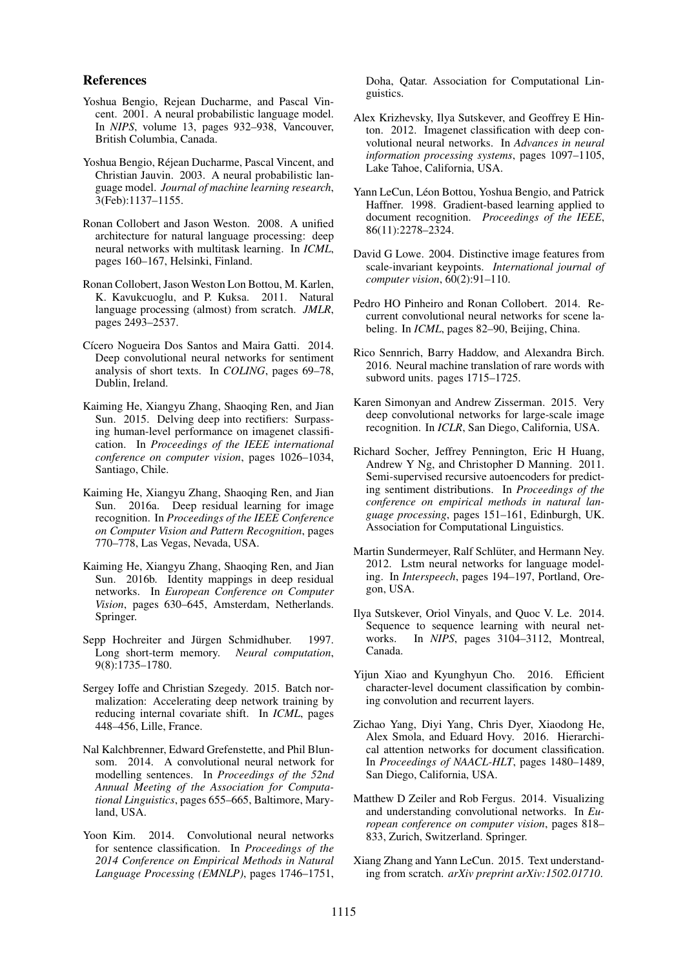#### References

- Yoshua Bengio, Rejean Ducharme, and Pascal Vincent. 2001. A neural probabilistic language model. In *NIPS*, volume 13, pages 932–938, Vancouver, British Columbia, Canada.
- Yoshua Bengio, Rejean Ducharme, Pascal Vincent, and ´ Christian Jauvin. 2003. A neural probabilistic language model. *Journal of machine learning research*, 3(Feb):1137–1155.
- Ronan Collobert and Jason Weston. 2008. A unified architecture for natural language processing: deep neural networks with multitask learning. In *ICML*, pages 160–167, Helsinki, Finland.
- Ronan Collobert, Jason Weston Lon Bottou, M. Karlen, K. Kavukcuoglu, and P. Kuksa. 2011. Natural language processing (almost) from scratch. *JMLR*, pages 2493–2537.
- Cícero Nogueira Dos Santos and Maira Gatti. 2014. Deep convolutional neural networks for sentiment analysis of short texts. In *COLING*, pages 69–78, Dublin, Ireland.
- Kaiming He, Xiangyu Zhang, Shaoqing Ren, and Jian Sun. 2015. Delving deep into rectifiers: Surpassing human-level performance on imagenet classification. In *Proceedings of the IEEE international conference on computer vision*, pages 1026–1034, Santiago, Chile.
- Kaiming He, Xiangyu Zhang, Shaoqing Ren, and Jian Sun. 2016a. Deep residual learning for image recognition. In *Proceedings of the IEEE Conference on Computer Vision and Pattern Recognition*, pages 770–778, Las Vegas, Nevada, USA.
- Kaiming He, Xiangyu Zhang, Shaoqing Ren, and Jian Sun. 2016b. Identity mappings in deep residual networks. In *European Conference on Computer Vision*, pages 630–645, Amsterdam, Netherlands. Springer.
- Sepp Hochreiter and Jürgen Schmidhuber. 1997. Long short-term memory. *Neural computation*, 9(8):1735–1780.
- Sergey Ioffe and Christian Szegedy. 2015. Batch normalization: Accelerating deep network training by reducing internal covariate shift. In *ICML*, pages 448–456, Lille, France.
- Nal Kalchbrenner, Edward Grefenstette, and Phil Blunsom. 2014. A convolutional neural network for modelling sentences. In *Proceedings of the 52nd Annual Meeting of the Association for Computational Linguistics*, pages 655–665, Baltimore, Maryland, USA.
- Yoon Kim. 2014. Convolutional neural networks for sentence classification. In *Proceedings of the 2014 Conference on Empirical Methods in Natural Language Processing (EMNLP)*, pages 1746–1751,

Doha, Qatar. Association for Computational Linguistics.

- Alex Krizhevsky, Ilya Sutskever, and Geoffrey E Hinton. 2012. Imagenet classification with deep convolutional neural networks. In *Advances in neural information processing systems*, pages 1097–1105, Lake Tahoe, California, USA.
- Yann LeCun, Léon Bottou, Yoshua Bengio, and Patrick Haffner. 1998. Gradient-based learning applied to document recognition. *Proceedings of the IEEE*, 86(11):2278–2324.
- David G Lowe. 2004. Distinctive image features from scale-invariant keypoints. *International journal of computer vision*, 60(2):91–110.
- Pedro HO Pinheiro and Ronan Collobert. 2014. Recurrent convolutional neural networks for scene labeling. In *ICML*, pages 82–90, Beijing, China.
- Rico Sennrich, Barry Haddow, and Alexandra Birch. 2016. Neural machine translation of rare words with subword units. pages 1715–1725.
- Karen Simonyan and Andrew Zisserman. 2015. Very deep convolutional networks for large-scale image recognition. In *ICLR*, San Diego, California, USA.
- Richard Socher, Jeffrey Pennington, Eric H Huang, Andrew Y Ng, and Christopher D Manning. 2011. Semi-supervised recursive autoencoders for predicting sentiment distributions. In *Proceedings of the conference on empirical methods in natural language processing*, pages 151–161, Edinburgh, UK. Association for Computational Linguistics.
- Martin Sundermeyer, Ralf Schlüter, and Hermann Ney. 2012. Lstm neural networks for language modeling. In *Interspeech*, pages 194–197, Portland, Oregon, USA.
- Ilya Sutskever, Oriol Vinyals, and Quoc V. Le. 2014. Sequence to sequence learning with neural networks. In *NIPS*, pages 3104–3112, Montreal, Canada.
- Yijun Xiao and Kyunghyun Cho. 2016. Efficient character-level document classification by combining convolution and recurrent layers.
- Zichao Yang, Diyi Yang, Chris Dyer, Xiaodong He, Alex Smola, and Eduard Hovy. 2016. Hierarchical attention networks for document classification. In *Proceedings of NAACL-HLT*, pages 1480–1489, San Diego, California, USA.
- Matthew D Zeiler and Rob Fergus. 2014. Visualizing and understanding convolutional networks. In *European conference on computer vision*, pages 818– 833, Zurich, Switzerland. Springer.
- Xiang Zhang and Yann LeCun. 2015. Text understanding from scratch. *arXiv preprint arXiv:1502.01710*.